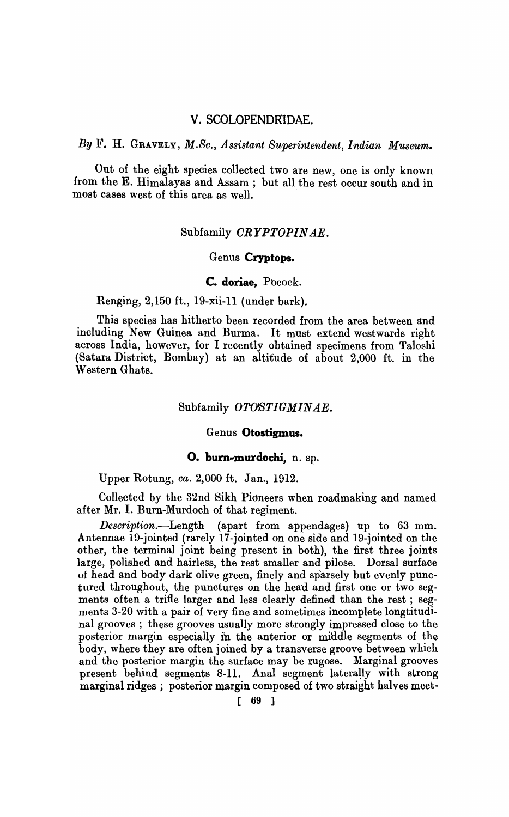# v. SCOLOPENDRIDAE.

*By* F. H. GRAVELY, *M.Sc., Assistant Superintendent, Indian Museum.* 

Out of the eight species collected two are new, one is only known from the E. Himalayas and Assam; but all the rest occur south and in most cases west of this area as well.

# Subfamily *CRYPTOPINAE*.

# Genus **Cryptops.**

#### **c. doriae,** Pocock.

Renging, 2,150 ft., 19-xii-ll (under bark).

This species has hitherto been recorded from the area between and including New Guinea and Burma. It must extend westwards right across India, however, for I recently obtained specimens from Taloshi (Satara District, Bombay) at an altitude of about 2,000 ft. in the Western Ghats.

### Subfamily *OTOSTIGMINAE*.

#### Genus **Otostigmus.**

#### **O. burn-murdochi,** n. sp.

Upper R.otung, *ca.* 2,000 ft. Jan., 1912.

Collected by the 32nd Sikh Pioneers when roadmaking and named after Mr. I. Burn-Murdoch of that regiment.

*Description.-Length* (apart from appendages) up to 63 mm. Antennae 19-jointed (rarely 17 -jointed on one side and 19-jointed on the other, the terminal joint being present in both), the first three joints large, polished and hairless, the rest smaller and pilose. Dorsal surface of head and body dark olive green, finely and sp'arsely but evenly punctured throughout, the punctures on the head and first one or two segments often a trifle larger and less clearly defined than the rest; segments 3-20 with a pair of very fine and sometimes incomplete longtitudinal grooves; these grooves usually more strongly impressed close to the posterior margin especially in the anterior or middle segments of the body, where they are often joined by a transverse groove between which and the posterior margin the surface may be rugose. Marginal grooves present behind segments 8-11. Anal segment laterally with strong marginal ridges; posterior margin composed of two straight halves meet-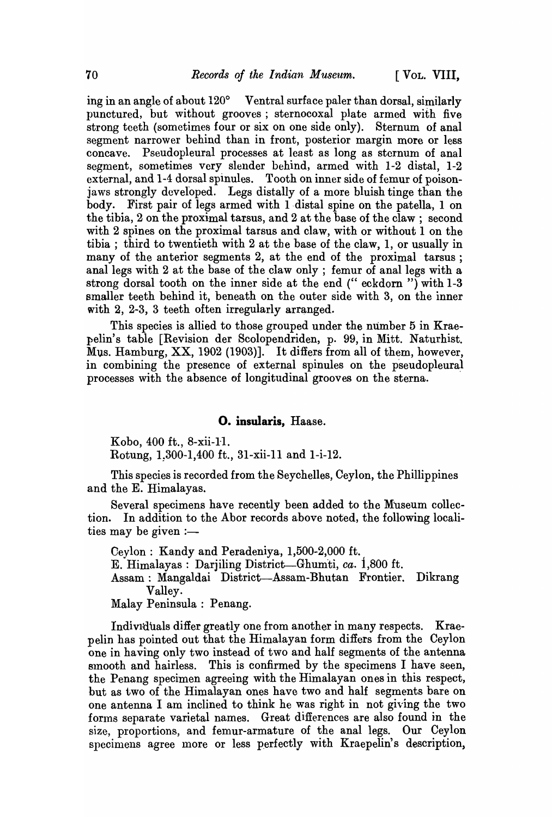ing in an angle of about  $120^{\circ}$  Ventral surface paler than dorsal, similarly punctured, but without grooves; sternocoxal plate armed with five strong teeth (sometimes four or six on one side only). Sternum of anal segment narrower behind than in front, posterior margin more or less concave. Pseudopleural processes at least as long as sternum of anal segment, sometimes very slender behind, armed with 1-2 distal, 1-2 external, and 1-4 dorsal spinules. Tooth on inner side of femur of poisonjaws strongly developed. Legs distally of a more bluish tinge than the body. First pair of legs armed with I-distal spine on the patella, 1 on the tibia, 2 on the proximal tarsus, and 2 at the base of the claw; second with 2 spines on the proximal tarsus and claw, with or without 1 on the tibia; third to twentieth with 2 at the base of the claw, 1, or usually in many of the anterior segments 2, at the end of the proximal tarsus; anal legs with 2 at the base of the claw only; femur of anal legs with a strong dorsal tooth on the inner side at the end (" eckdorn ") with 1-3 smaller teeth behind it, beneath on the outer side with 3, on the inner with  $2, 2-3, 3$  teeth often irregularly arranged.

This species is allied to those grouped under the number 5 in Kraepelin's table [Revision der Scolopendriden, p. 99, in Mitt. Naturhist. Mus. Hamburg, XX, 1902 (1903)]. It differs from all of them, however, in combining the presence of external spinules on the pseudopleural processes with the absence of longitudinal grooves on the sterna.

# o. insularis, Haase.

Kobo, 400 ft., 8-xii-II.

Rotung, 1.300-1,400 ft., 31-xii-11 and 1-i-12.

This species is recorded from the Seychelles, Ceylon, the Phillippines and the E. Himalayas.

Several specimens have recently been added to the Museum collection. In addition to the Abor records above noted, the following localities may be given  $:=$ 

Ceylon: Kandy and Peradeniya, 1,500-2,000 ft.

E. Himalayas: Darjiling District-Ghumti, *ca.* i,800 ft.

Assam: Mangaldai District-Assam-Bhutan Frontier. Dikrang Valley.

Malay Peninsula: Penang.

Individuals differ greatly one from another in many respects. Kraepelin has pointed out that the Himalayan form differs from the Ceylon one in having only two instead of two and half segments of the antenna smooth and hairless. This is confirmed by the specimens I have seen, the Penang specimen agreeing with the Himalayan ones in this respect, but as two of the Himalayan ones have two and half segments bare on one antenna I am inclined to think he was right in not giving the two forms separate varietal names. Great differences are also found in the size, proportions, and femur-armature of the anal legs. Our Ceylon specimens agree more or less perfectly with Kraepelin's description,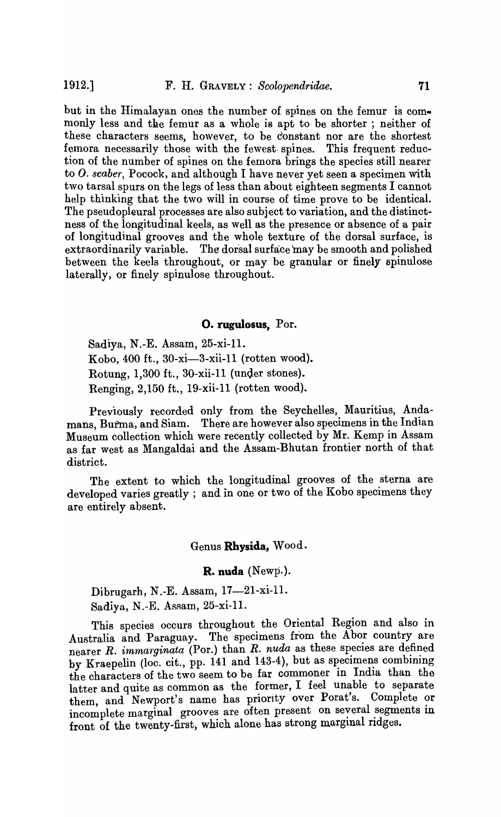but in the IIimalayan ones the number of spines on the femur is commonly less and the femur as a whole is apt to be shorter; neither of these characters seems, however, to be constant nor are the shortest femora necessarily those with the fewest spines. This frequent reduction of the number of spines on the femora brings the species still nearer to *O. scaber*, Pocock, and although I have never yet seen a specimen with two tarsal spurs on the legs of less than about eighteen segments I cannot help thinking that the two will in course of time prove to be identical. The pseudopleural processes are also subject to variation, and the distinctness of the longitudinal keels, as well as the presence or absence of a pair of longitudinal grooves and the whole texture of the dorsal surface, is extraordinarily variable. The dorsal surface may be smooth and polished between the keels throughout, or may be granular or finely spinulose laterally, or finely spinulose throughout.

#### **O. rugulosus**, Por.

Sadiya, N.-E. Assam, 25-xi-11. Kobo, 400 ft., 30-xi-3-xii-l1 (rotten wood). Rotung, 1,300 ft., 30-xii-11 (under stones). Renging, 2,150 ft., 19-xii-ll (rotten wood).

Previously recorded only from the Seychelles, Mauritius, Andamans, Burma, and Siam. There are however also specimens in the Indian Museum collection which were recently collected by Mr. Kemp in Assam as far west as Mangaldai and the Assam-Bhutan frontier north of that district.

The extent to which the longitudinal grooves of the sterna are developed varies greatly ; and in one or two of the Kobo specimens they are entirely absent.

#### Genus **Rhysida,** Wood.

**R. nuda** (Newp.).

Dibrugarh, N.-E. Assam, 17-21-xi-11. Sadiya, N.-E. Assam, 25-xi-ll.

This species occurs throughout the Oriental Region and also in Australia and Paraguay. The specimens from the Abor country are nearer *R. immarginata* (Por.) than *R. nuda* as these species are defined by Kraepelin (loc. cit., pp. 141 and 143-4), but as specimens combining the characters of the two seem to be far commoner in India than the latter and quite as common as the former, I feel unable to separate them, and Newport's name has priority over Porat's. Complete or incomplete marginal grooves are often present on several segments in front of the twenty-first, which alone has strong marginal ridges.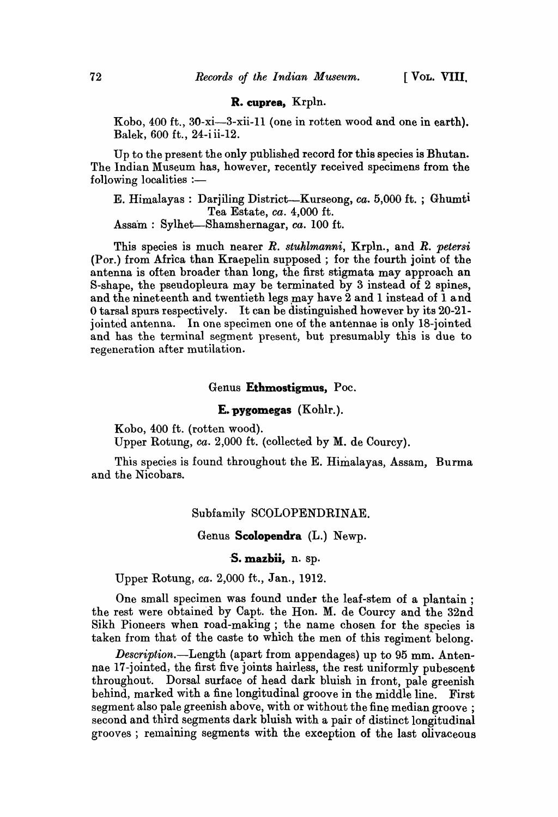# R. cuprea, Krpln.

Kobo, 400 ft., 30-xi-3-xii-ll (one in rotten wood and one in earth). Balek, 600 ft., 24-i ii-12.

Up to the present the only published record for this species is Bhutan. The Indian Museum has, however, recently received specimens from the  $following$  localities :-

E. Himalayas: Darjiling District-Kurseong, *ca.* 5,000 ft. ; Ghumti Tea Estate, *ca.* 4,000 ft. Assam: Sylhet-Shamshernagar, *ca.* 100 ft.

This species is much nearer *R. stuhlmanni,* Krpln., and *R. petersi*  (Por.) from Africa than Kraepelin supposed; for the fourth joint of the antenna is often broader than long, the first stigmata may approach an S-shape, the pseudopleura may be terminated by 3 instead of 2 spines, and the nineteenth and twentieth legs may have 2 and 1 instead of 1 and o tarsal spurs respectively. It can be distinguished however by its 20-21 jointed antenna. In one specimen one of the antennae is only I8-jointed and has the terminal segment present, but presumably this is due to regeneration after mutilation.

### Genus Ethmostigmus, Poc.

#### E. pygomegas (Kohlr.).

Kobo, 400 ft. (rotten wood).

Upper Rotung, ca. 2,000 ft. (collected by M. de Courcy).

This species is found throughout the E. Himalayas, Assam, Burma and the Nicobars.

# Subfamily SCOLOPENDRINAE.

### Genus Scolopendra (L.) Newp.

S. mazbii, n. sp.

Upper Rotung, *ca.* 2,000 ft., Jan., 1912.

One small specimen was found under the leaf-stem of a plantain ; the rest were obtained by Capt. the Hon. M. de Courcy and the 32nd Sikh Pioneers when road -making ; the name chosen for the species is taken from that of the caste to which the men of this regiment belong.

*Description.-Length* (apart from appendages) up to 95 mm. Antennae 17-jointed, the first five joints hairless, the rest uniformly pubescent throughout. Dorsal surface of head dark bluish in front, pale greenish behind, marked with a fine longitudinal groove in the middle line. First segment also pale greenish above, with or without the fine median groove ; second and third segments dark bluish with a pair of distinct longitudinal grooves; remaining segments with the exception of the last olivaceous